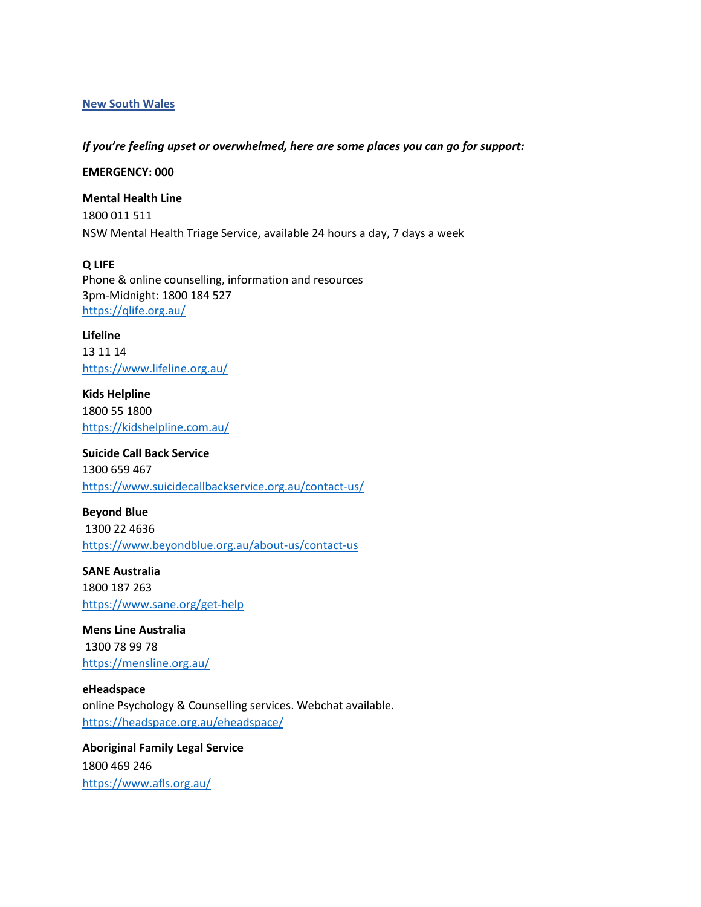## **New South Wales**

## *If you're feeling upset or overwhelmed, here are some places you can go for support:*

**EMERGENCY: 000**

**Mental Health Line** 1800 011 511 NSW Mental Health Triage Service, available 24 hours a day, 7 days a week

**Q LIFE** Phone & online counselling, information and resources 3pm-Midnight: 1800 184 527 <https://qlife.org.au/>

**Lifeline**  13 11 14 <https://www.lifeline.org.au/>

**Kids Helpline** 1800 55 1800 <https://kidshelpline.com.au/>

**Suicide Call Back Service** 1300 659 467 <https://www.suicidecallbackservice.org.au/contact-us/>

**Beyond Blue** 1300 22 4636 <https://www.beyondblue.org.au/about-us/contact-us>

**SANE Australia** 1800 187 263 <https://www.sane.org/get-help>

**Mens Line Australia** 1300 78 99 78 <https://mensline.org.au/>

**eHeadspace** online Psychology & Counselling services. Webchat available. <https://headspace.org.au/eheadspace/>

**Aboriginal Family Legal Service** 1800 469 246 <https://www.afls.org.au/>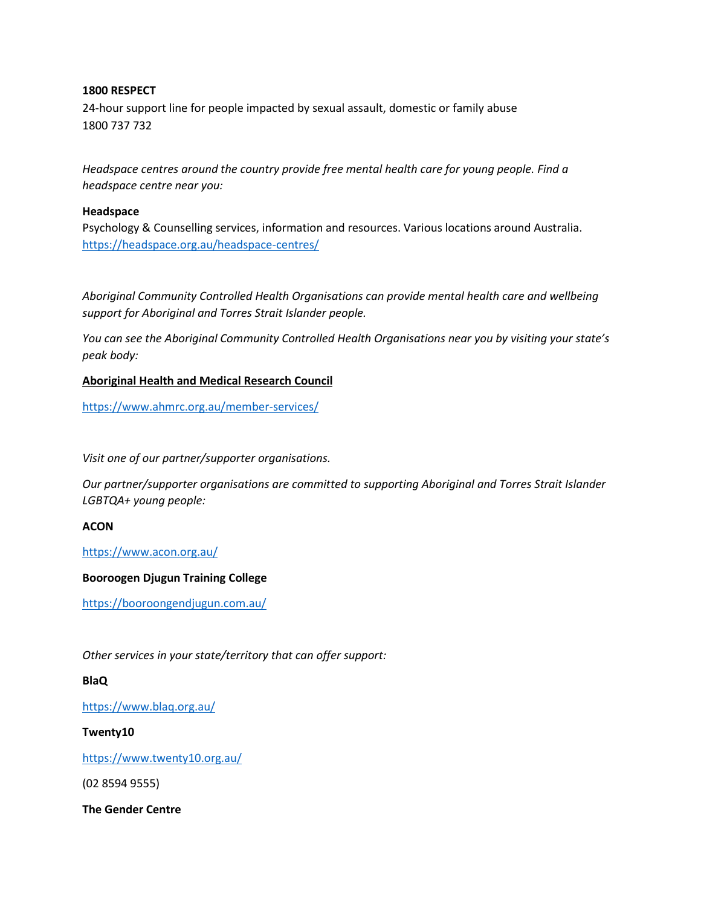# **1800 RESPECT**

24-hour support line for people impacted by sexual assault, domestic or family abuse 1800 737 732

*Headspace centres around the country provide free mental health care for young people. Find a headspace centre near you:*

## **Headspace**

Psychology & Counselling services, information and resources. Various locations around Australia. <https://headspace.org.au/headspace-centres/>

*Aboriginal Community Controlled Health Organisations can provide mental health care and wellbeing support for Aboriginal and Torres Strait Islander people.* 

*You can see the Aboriginal Community Controlled Health Organisations near you by visiting your state's peak body:*

# **Aboriginal Health and Medical Research Council**

<https://www.ahmrc.org.au/member-services/>

*Visit one of our partner/supporter organisations.*

*Our partner/supporter organisations are committed to supporting Aboriginal and Torres Strait Islander LGBTQA+ young people:*

#### **ACON**

<https://www.acon.org.au/>

#### **Booroogen Djugun Training College**

<https://booroongendjugun.com.au/>

*Other services in your state/territory that can offer support:*

# **BlaQ**

<https://www.blaq.org.au/>

## **Twenty10**

<https://www.twenty10.org.au/>

(02 8594 9555)

**The Gender Centre**